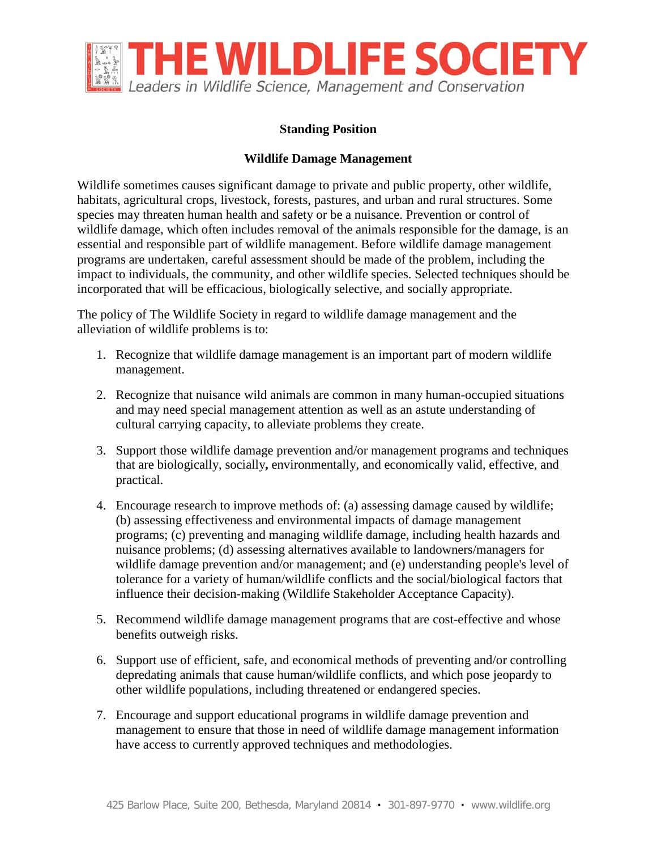

## **Standing Position**

## **Wildlife Damage Management**

Wildlife sometimes causes significant damage to private and public property, other wildlife, habitats, agricultural crops, livestock, forests, pastures, and urban and rural structures. Some species may threaten human health and safety or be a nuisance. Prevention or control of wildlife damage, which often includes removal of the animals responsible for the damage, is an essential and responsible part of wildlife management. Before wildlife damage management programs are undertaken, careful assessment should be made of the problem, including the impact to individuals, the community, and other wildlife species. Selected techniques should be incorporated that will be efficacious, biologically selective, and socially appropriate.

The policy of The Wildlife Society in regard to wildlife damage management and the alleviation of wildlife problems is to:

- 1. Recognize that wildlife damage management is an important part of modern wildlife management.
- 2. Recognize that nuisance wild animals are common in many human-occupied situations and may need special management attention as well as an astute understanding of cultural carrying capacity, to alleviate problems they create.
- 3. Support those wildlife damage prevention and/or management programs and techniques that are biologically, socially**,** environmentally, and economically valid, effective, and practical.
- 4. Encourage research to improve methods of: (a) assessing damage caused by wildlife; (b) assessing effectiveness and environmental impacts of damage management programs; (c) preventing and managing wildlife damage, including health hazards and nuisance problems; (d) assessing alternatives available to landowners/managers for wildlife damage prevention and/or management; and (e) understanding people's level of tolerance for a variety of human/wildlife conflicts and the social/biological factors that influence their decision-making (Wildlife Stakeholder Acceptance Capacity).
- 5. Recommend wildlife damage management programs that are cost-effective and whose benefits outweigh risks.
- 6. Support use of efficient, safe, and economical methods of preventing and/or controlling depredating animals that cause human/wildlife conflicts, and which pose jeopardy to other wildlife populations, including threatened or endangered species.
- 7. Encourage and support educational programs in wildlife damage prevention and management to ensure that those in need of wildlife damage management information have access to currently approved techniques and methodologies.